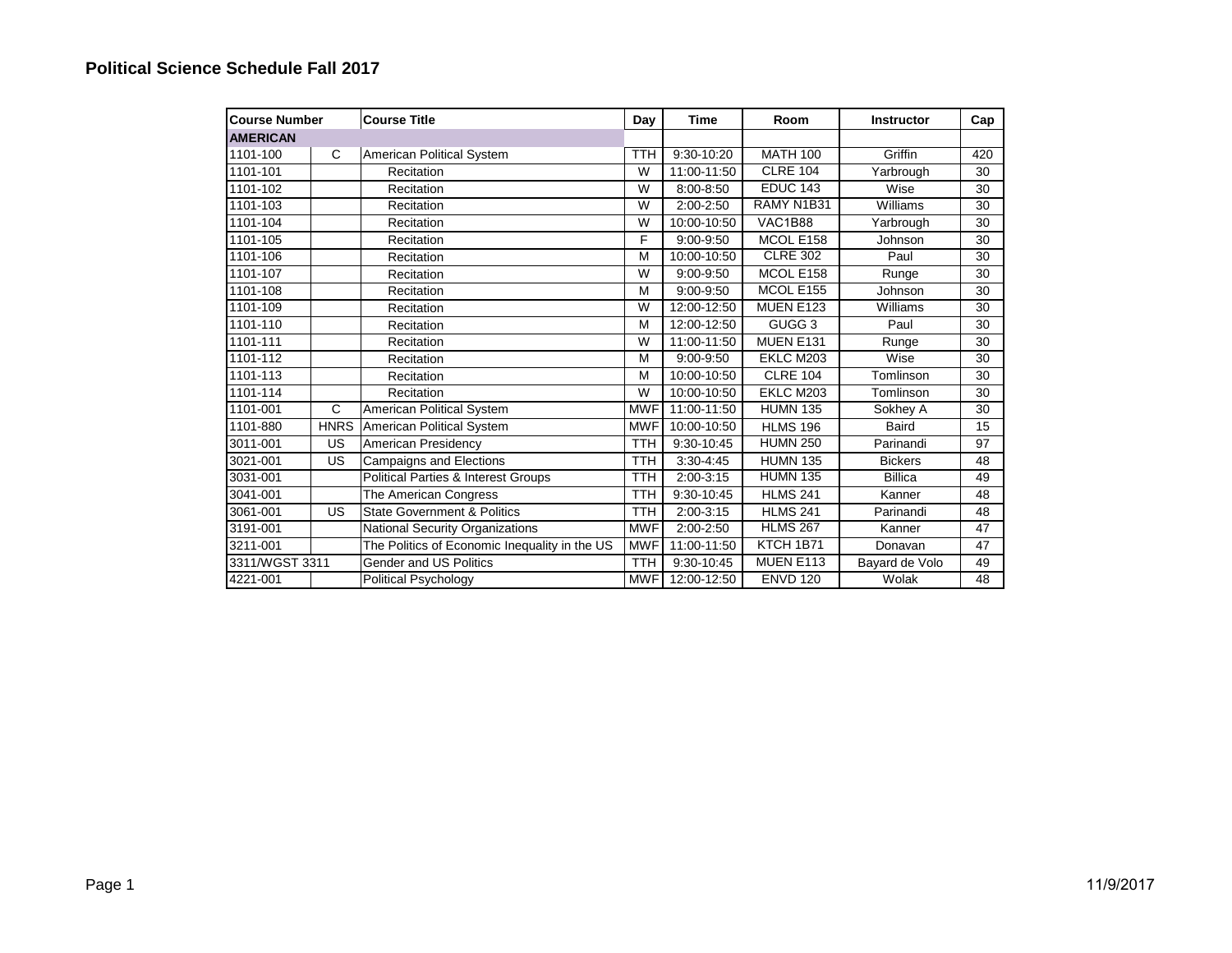| <b>Course Number</b> |             | <b>Course Title</b>                           | Day        | Time            | Room              | <b>Instructor</b> | Cap |
|----------------------|-------------|-----------------------------------------------|------------|-----------------|-------------------|-------------------|-----|
| <b>AMERICAN</b>      |             |                                               |            |                 |                   |                   |     |
| 1101-100             | C           | American Political System                     | <b>TTH</b> | 9:30-10:20      | <b>MATH 100</b>   | Griffin           | 420 |
| 1101-101             |             | Recitation                                    | W          | 11:00-11:50     | <b>CLRE 104</b>   | Yarbrough         | 30  |
| 1101-102             |             | Recitation                                    | W          | 8:00-8:50       | <b>EDUC 143</b>   | Wise              | 30  |
| 1101-103             |             | Recitation                                    | W          | 2:00-2:50       | RAMY N1B31        | Williams          | 30  |
| 1101-104             |             | Recitation                                    | W          | 10:00-10:50     | <b>VAC1B88</b>    | Yarbrough         | 30  |
| 1101-105             |             | Recitation                                    | F          | 9:00-9:50       | MCOL E158         | Johnson           | 30  |
| 1101-106             |             | Recitation                                    | M          | 10:00-10:50     | <b>CLRE 302</b>   | Paul              | 30  |
| 1101-107             |             | Recitation                                    | W          | $9:00 - 9:50$   | MCOL E158         | Runge             | 30  |
| 1101-108             |             | Recitation                                    | M          | 9:00-9:50       | MCOL E155         | Johnson           | 30  |
| 1101-109             |             | Recitation                                    | W          | 12:00-12:50     | <b>MUEN E123</b>  | Williams          | 30  |
| 1101-110             |             | Recitation                                    | M          | 12:00-12:50     | GUGG <sub>3</sub> | Paul              | 30  |
| 1101-111             |             | Recitation                                    | W          | 11:00-11:50     | MUEN E131         | Runge             | 30  |
| 1101-112             |             | Recitation                                    | M          | $9:00 - 9:50$   | EKLC M203         | Wise              | 30  |
| 1101-113             |             | Recitation                                    | M          | $10:00 - 10:50$ | <b>CLRE 104</b>   | Tomlinson         | 30  |
| 1101-114             |             | Recitation                                    | W          | 10:00-10:50     | EKLC M203         | Tomlinson         | 30  |
| 1101-001             | C           | American Political System                     | <b>MWF</b> | 11:00-11:50     | <b>HUMN 135</b>   | Sokhey A          | 30  |
| 1101-880             | <b>HNRS</b> | American Political System                     | <b>MWF</b> | 10:00-10:50     | <b>HLMS 196</b>   | <b>Baird</b>      | 15  |
| 3011-001             | US          | American Presidency                           | <b>TTH</b> | 9:30-10:45      | <b>HUMN 250</b>   | Parinandi         | 97  |
| 3021-001             | US          | <b>Campaigns and Elections</b>                | <b>TTH</b> | $3:30 - 4:45$   | <b>HUMN 135</b>   | <b>Bickers</b>    | 48  |
| 3031-001             |             | Political Parties & Interest Groups           | <b>TTH</b> | $2:00-3:15$     | <b>HUMN 135</b>   | <b>Billica</b>    | 49  |
| 3041-001             |             | The American Congress                         | <b>TTH</b> | 9:30-10:45      | <b>HLMS 241</b>   | Kanner            | 48  |
| 3061-001             | US          | <b>State Government &amp; Politics</b>        | <b>TTH</b> | $2:00-3:15$     | <b>HLMS 241</b>   | Parinandi         | 48  |
| 3191-001             |             | National Security Organizations               | <b>MWF</b> | 2:00-2:50       | <b>HLMS 267</b>   | Kanner            | 47  |
| 3211-001             |             | The Politics of Economic Inequality in the US | <b>MWF</b> | 11:00-11:50     | KTCH 1B71         | Donavan           | 47  |
| 3311/WGST 3311       |             | <b>Gender and US Politics</b>                 | <b>TTH</b> | 9:30-10:45      | MUEN E113         | Bayard de Volo    | 49  |
| 4221-001             |             | Political Psychology                          | <b>MWF</b> | 12:00-12:50     | <b>ENVD 120</b>   | Wolak             | 48  |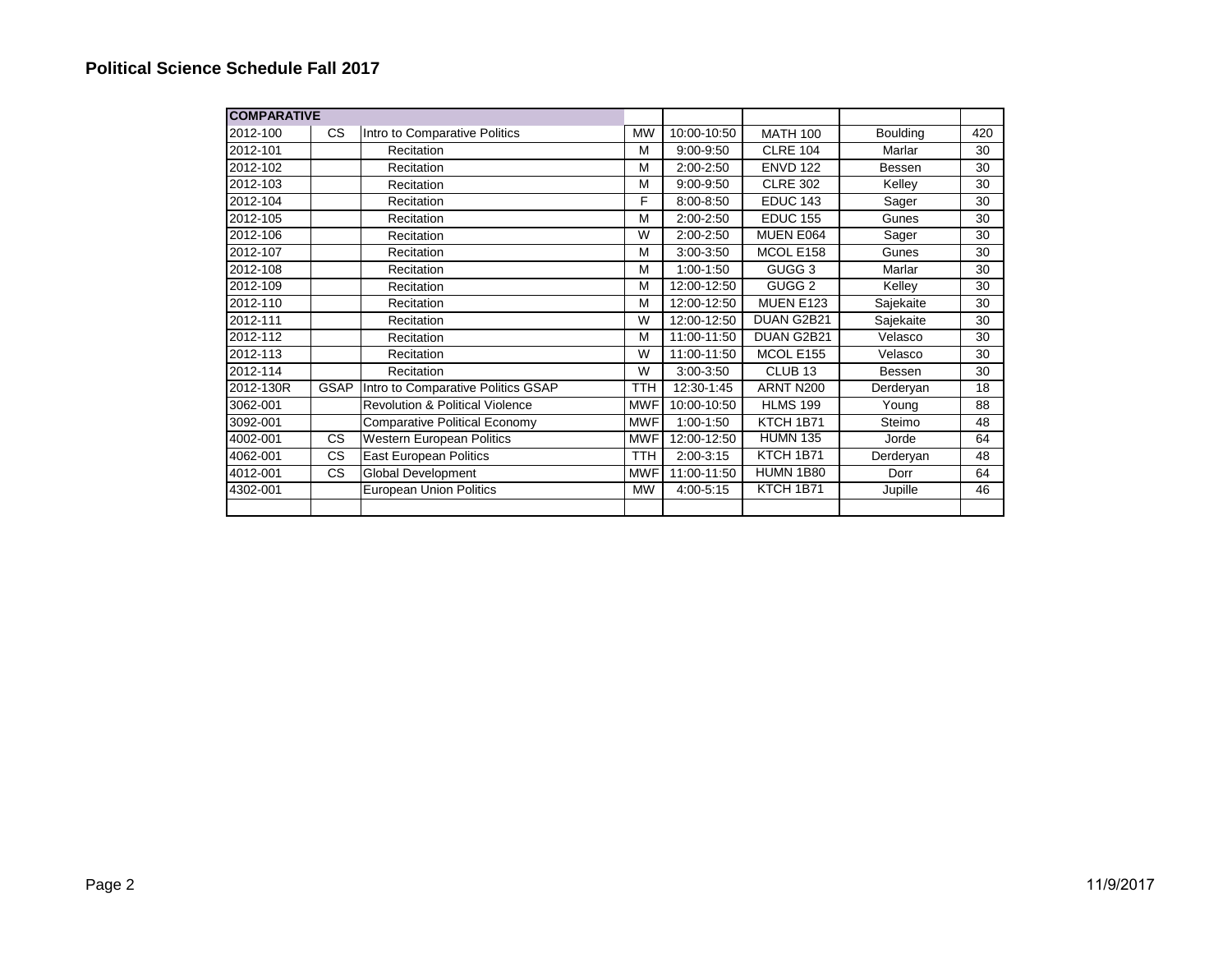| <b>COMPARATIVE</b> |             |                                            |            |               |                    |                 |     |
|--------------------|-------------|--------------------------------------------|------------|---------------|--------------------|-----------------|-----|
| 2012-100           | CS.         | Intro to Comparative Politics              | <b>MW</b>  | 10:00-10:50   | <b>MATH 100</b>    | <b>Boulding</b> | 420 |
| 2012-101           |             | Recitation                                 | М          | $9:00 - 9:50$ | <b>CLRE 104</b>    | Marlar          | 30  |
| 2012-102           |             | Recitation                                 | М          | 2:00-2:50     | <b>ENVD 122</b>    | Bessen          | 30  |
| 2012-103           |             | Recitation                                 | M          | $9:00 - 9:50$ | <b>CLRE 302</b>    | Kelley          | 30  |
| 2012-104           |             | Recitation                                 | F          | 8:00-8:50     | <b>EDUC 143</b>    | Sager           | 30  |
| 2012-105           |             | Recitation                                 | M          | 2:00-2:50     | <b>EDUC 155</b>    | Gunes           | 30  |
| 2012-106           |             | Recitation                                 | W          | 2:00-2:50     | MUEN E064          | Sager           | 30  |
| 2012-107           |             | Recitation                                 | M          | 3:00-3:50     | MCOL E158          | Gunes           | 30  |
| 2012-108           |             | Recitation                                 | M          | $1:00-1:50$   | GUGG <sub>3</sub>  | Marlar          | 30  |
| 2012-109           |             | Recitation                                 | M          | 12:00-12:50   | GUGG <sub>2</sub>  | Kelley          | 30  |
| 2012-110           |             | Recitation                                 | M          | 12:00-12:50   | <b>MUEN E123</b>   | Sajekaite       | 30  |
| 2012-111           |             | Recitation                                 | W          | 12:00-12:50   | DUAN G2B21         | Sajekaite       | 30  |
| 2012-112           |             | Recitation                                 | M          | 11:00-11:50   | DUAN G2B21         | Velasco         | 30  |
| 2012-113           |             | Recitation                                 | W          | 11:00-11:50   | MCOL E155          | Velasco         | 30  |
| 2012-114           |             | Recitation                                 | W          | 3:00-3:50     | CLUB <sub>13</sub> | Bessen          | 30  |
| 2012-130R          | <b>GSAP</b> | Intro to Comparative Politics GSAP         | TTH        | 12:30-1:45    | ARNT N200          | Derderyan       | 18  |
| 3062-001           |             | <b>Revolution &amp; Political Violence</b> | <b>MWF</b> | 10:00-10:50   | <b>HLMS 199</b>    | Young           | 88  |
| 3092-001           |             | <b>Comparative Political Economy</b>       | <b>MWF</b> | $1:00-1:50$   | KTCH 1B71          | Steimo          | 48  |
| 4002-001           | CS          | Western European Politics                  | <b>MWF</b> | 12:00-12:50   | <b>HUMN 135</b>    | Jorde           | 64  |
| 4062-001           | CS          | East European Politics                     | <b>TTH</b> | $2:00-3:15$   | KTCH 1B71          | Derderyan       | 48  |
| 4012-001           | CS          | Global Development                         | <b>MWF</b> | 11:00-11:50   | <b>HUMN 1B80</b>   | Dorr            | 64  |
| 4302-001           |             | <b>European Union Politics</b>             | <b>MW</b>  | 4:00-5:15     | KTCH 1B71          | Jupille         | 46  |
|                    |             |                                            |            |               |                    |                 |     |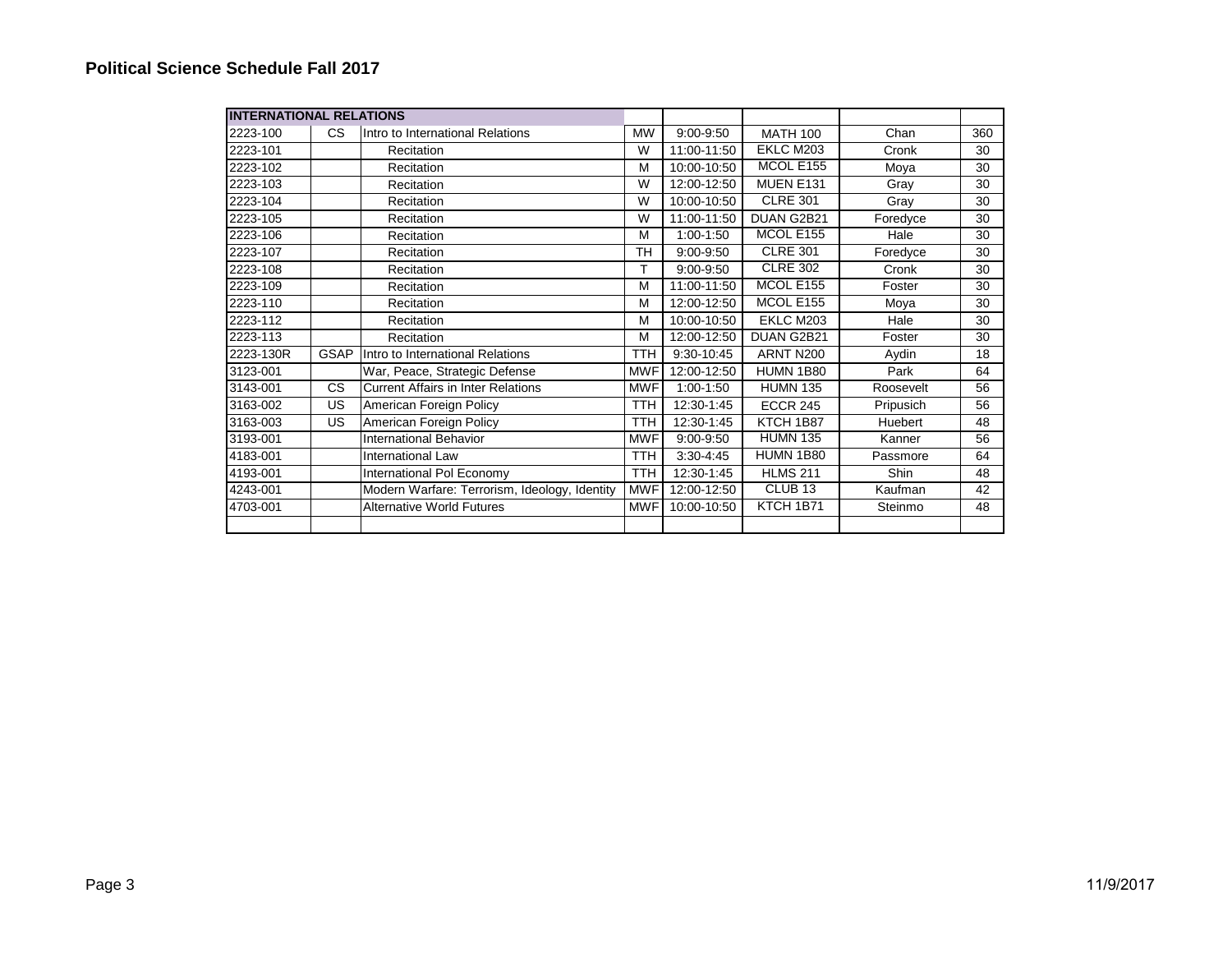| <b>INTERNATIONAL RELATIONS</b> |             |                                               |            |                          |                    |           |     |
|--------------------------------|-------------|-----------------------------------------------|------------|--------------------------|--------------------|-----------|-----|
| 2223-100                       | CS          | Intro to International Relations              | <b>MW</b>  | $9:00 - 9:50$            | <b>MATH 100</b>    | Chan      | 360 |
| 2223-101                       |             | Recitation                                    | W          | 11:00-11:50              | EKLC M203          | Cronk     | 30  |
| 2223-102                       |             | Recitation                                    | M          | 10:00-10:50              | MCOL E155          | Moya      | 30  |
| 2223-103                       |             | Recitation                                    | W          | $\overline{12:}00-12:50$ | MUEN E131          | Gray      | 30  |
| 2223-104                       |             | Recitation                                    | W          | 10:00-10:50              | <b>CLRE 301</b>    | Gray      | 30  |
| 2223-105                       |             | Recitation                                    | W          | 11:00-11:50              | DUAN G2B21         | Foredyce  | 30  |
| 2223-106                       |             | Recitation                                    | M          | $1:00-1:50$              | MCOL E155          | Hale      | 30  |
| 2223-107                       |             | Recitation                                    | <b>TH</b>  | 9:00-9:50                | <b>CLRE 301</b>    | Foredyce  | 30  |
| 2223-108                       |             | Recitation                                    | т          | 9:00-9:50                | <b>CLRE 302</b>    | Cronk     | 30  |
| 2223-109                       |             | Recitation                                    | M          | 11:00-11:50              | MCOL E155          | Foster    | 30  |
| 2223-110                       |             | Recitation                                    | M          | 12:00-12:50              | MCOL E155          | Moya      | 30  |
| 2223-112                       |             | Recitation                                    | M          | 10:00-10:50              | EKLC M203          | Hale      | 30  |
| 2223-113                       |             | Recitation                                    | M          | 12:00-12:50              | DUAN G2B21         | Foster    | 30  |
| 2223-130R                      | <b>GSAP</b> | Intro to International Relations              | <b>TTH</b> | 9:30-10:45               | ARNT N200          | Aydin     | 18  |
| 3123-001                       |             | War, Peace, Strategic Defense                 | MWF        | 12:00-12:50              | <b>HUMN 1B80</b>   | Park      | 64  |
| 3143-001                       | <b>CS</b>   | <b>Current Affairs in Inter Relations</b>     | <b>MWF</b> | $1:00-1:50$              | <b>HUMN 135</b>    | Roosevelt | 56  |
| 3163-002                       | US          | American Foreign Policy                       | <b>TTH</b> | 12:30-1:45               | <b>ECCR 245</b>    | Pripusich | 56  |
| 3163-003                       | US          | American Foreign Policy                       | <b>TTH</b> | 12:30-1:45               | KTCH 1B87          | Huebert   | 48  |
| 3193-001                       |             | <b>International Behavior</b>                 | <b>MWF</b> | $9:00 - 9:50$            | <b>HUMN 135</b>    | Kanner    | 56  |
| 4183-001                       |             | <b>International Law</b>                      | <b>TTH</b> | $3:30 - 4:45$            | <b>HUMN 1B80</b>   | Passmore  | 64  |
| 4193-001                       |             | International Pol Economy                     | <b>TTH</b> | 12:30-1:45               | <b>HLMS 211</b>    | Shin      | 48  |
| 4243-001                       |             | Modern Warfare: Terrorism, Ideology, Identity | <b>MWF</b> | 12:00-12:50              | CLUB <sub>13</sub> | Kaufman   | 42  |
| 4703-001                       |             | <b>Alternative World Futures</b>              | <b>MWF</b> | 10:00-10:50              | KTCH 1B71          | Steinmo   | 48  |
|                                |             |                                               |            |                          |                    |           |     |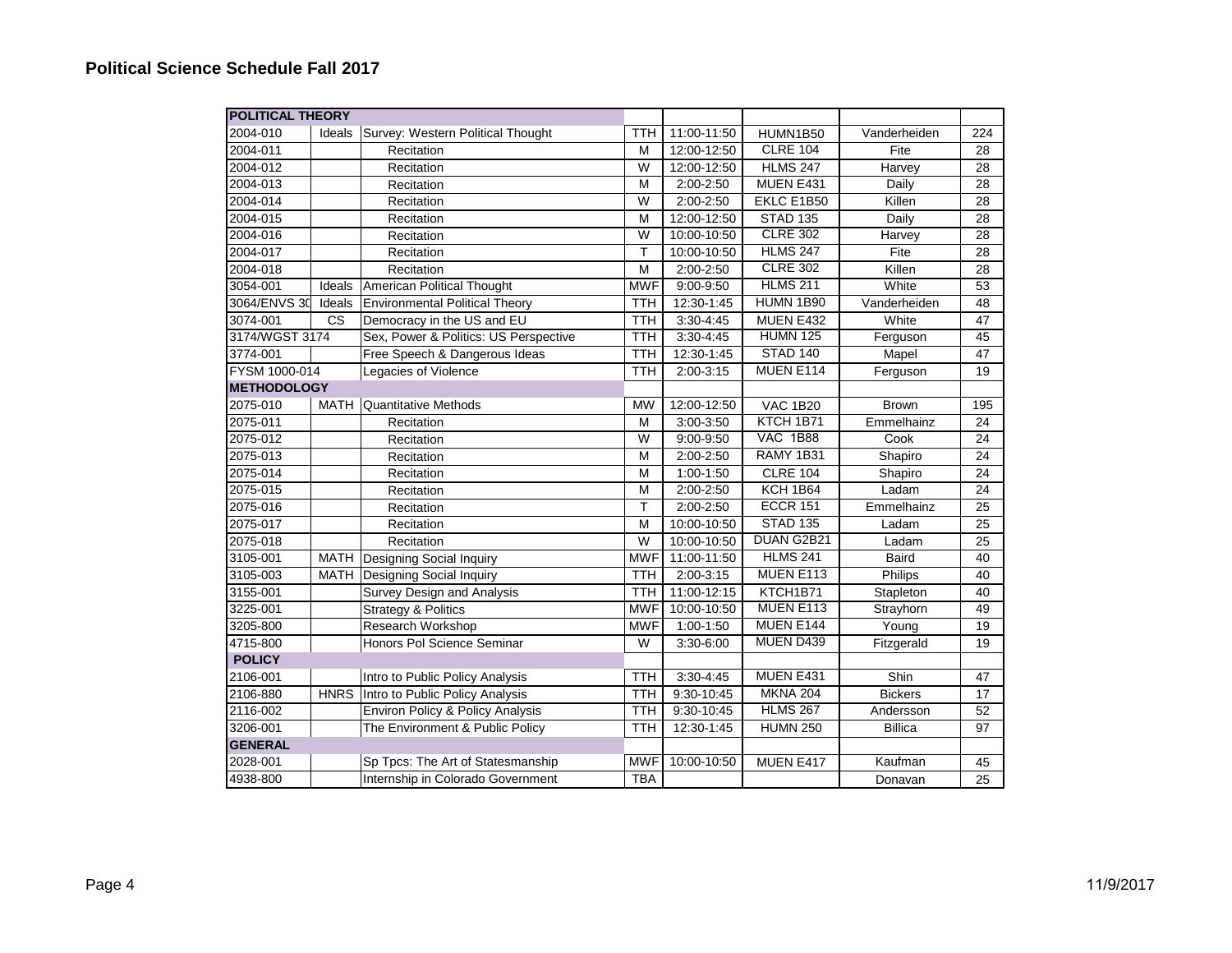| <b>POLITICAL THEORY</b> |                        |                                             |                |               |                 |                |     |
|-------------------------|------------------------|---------------------------------------------|----------------|---------------|-----------------|----------------|-----|
| 2004-010                | Ideals                 | Survey: Western Political Thought           | <b>TTH</b>     | 11:00-11:50   | HUMN1B50        | Vanderheiden   | 224 |
| 2004-011                |                        | Recitation                                  | M              | 12:00-12:50   | <b>CLRE 104</b> | Fite           | 28  |
| 2004-012                |                        | Recitation                                  | $\overline{W}$ | 12:00-12:50   | <b>HLMS 247</b> | Harvey         | 28  |
| 2004-013                |                        | Recitation                                  | M              | 2:00-2:50     | MUEN E431       | Daily          | 28  |
| 2004-014                |                        | Recitation                                  | W              | 2:00-2:50     | EKLC E1B50      | Killen         | 28  |
| 2004-015                |                        | Recitation                                  | M              | 12:00-12:50   | <b>STAD 135</b> | Daily          | 28  |
| 2004-016                |                        | Recitation                                  | W              | 10:00-10:50   | <b>CLRE 302</b> | Harvey         | 28  |
| 2004-017                |                        | Recitation                                  | T              | 10:00-10:50   | <b>HLMS 247</b> | Fite           | 28  |
| 2004-018                |                        | Recitation                                  | M              | 2:00-2:50     | <b>CLRE 302</b> | Killen         | 28  |
| 3054-001                | Ideals                 | American Political Thought                  | <b>MWF</b>     | 9:00-9:50     | <b>HLMS 211</b> | White          | 53  |
| 3064/ENVS 30            | Ideals                 | <b>Environmental Political Theory</b>       | <b>TTH</b>     | 12:30-1:45    | HUMN 1B90       | Vanderheiden   | 48  |
| 3074-001                | $\overline{\text{cs}}$ | Democracy in the US and EU                  | <b>TTH</b>     | $3:30 - 4:45$ | MUEN E432       | White          | 47  |
| 3174/WGST 3174          |                        | Sex, Power & Politics: US Perspective       | <b>TTH</b>     | $3:30 - 4:45$ | <b>HUMN 125</b> | Ferguson       | 45  |
| 3774-001                |                        | Free Speech & Dangerous Ideas               | <b>TTH</b>     | 12:30-1:45    | <b>STAD 140</b> | Mapel          | 47  |
| FYSM 1000-014           |                        | Legacies of Violence                        | <b>TTH</b>     | $2:00-3:15$   | MUEN E114       | Ferguson       | 19  |
| <b>METHODOLOGY</b>      |                        |                                             |                |               |                 |                |     |
| 2075-010                | MATH                   | Quantitative Methods                        | <b>MW</b>      | 12:00-12:50   | <b>VAC 1B20</b> | <b>Brown</b>   | 195 |
| 2075-011                |                        | Recitation                                  | M              | 3:00-3:50     | KTCH 1B71       | Emmelhainz     | 24  |
| 2075-012                |                        | Recitation                                  | W              | $9:00 - 9:50$ | <b>VAC 1B88</b> | Cook           | 24  |
| 2075-013                |                        | Recitation                                  | M              | 2:00-2:50     | RAMY 1B31       | Shapiro        | 24  |
| 2075-014                |                        | Recitation                                  | M              | $1:00 - 1:50$ | <b>CLRE 104</b> | Shapiro        | 24  |
| 2075-015                |                        | Recitation                                  | M              | 2:00-2:50     | KCH 1B64        | Ladam          | 24  |
| 2075-016                |                        | Recitation                                  | T              | 2:00-2:50     | <b>ECCR 151</b> | Emmelhainz     | 25  |
| 2075-017                |                        | Recitation                                  | M              | 10:00-10:50   | <b>STAD 135</b> | Ladam          | 25  |
| 2075-018                |                        | Recitation                                  | W              | 10:00-10:50   | DUAN G2B21      | Ladam          | 25  |
| 3105-001                |                        | MATH Designing Social Inquiry               | <b>MWF</b>     | 11:00-11:50   | <b>HLMS 241</b> | <b>Baird</b>   | 40  |
| 3105-003                | MATH                   | Designing Social Inquiry                    | <b>TTH</b>     | $2:00-3:15$   | MUEN E113       | Philips        | 40  |
| 3155-001                |                        | Survey Design and Analysis                  | <b>TTH</b>     | 11:00-12:15   | KTCH1B71        | Stapleton      | 40  |
| 3225-001                |                        | <b>Strategy &amp; Politics</b>              | <b>MWF</b>     | 10:00-10:50   | MUEN E113       | Strayhorn      | 49  |
| 3205-800                |                        | Research Workshop                           | <b>MWF</b>     | 1:00-1:50     | MUEN E144       | Young          | 19  |
| 4715-800                |                        | Honors Pol Science Seminar                  | W              | 3:30-6:00     | MUEN D439       | Fitzgerald     | 19  |
| <b>POLICY</b>           |                        |                                             |                |               |                 |                |     |
| 2106-001                |                        | Intro to Public Policy Analysis             | <b>TTH</b>     | $3:30 - 4:45$ | MUEN E431       | Shin           | 47  |
| 2106-880                | <b>HNRS</b>            | Intro to Public Policy Analysis             | <b>TTH</b>     | 9:30-10:45    | <b>MKNA 204</b> | <b>Bickers</b> | 17  |
| 2116-002                |                        | <b>Environ Policy &amp; Policy Analysis</b> | <b>TTH</b>     | 9:30-10:45    | <b>HLMS 267</b> | Andersson      | 52  |
| 3206-001                |                        | The Environment & Public Policy             | <b>TTH</b>     | 12:30-1:45    | <b>HUMN 250</b> | <b>Billica</b> | 97  |
| <b>GENERAL</b>          |                        |                                             |                |               |                 |                |     |
| 2028-001                |                        | Sp Tpcs: The Art of Statesmanship           | <b>MWF</b>     | 10:00-10:50   | MUEN E417       | Kaufman        | 45  |
| 4938-800                |                        | Internship in Colorado Government           | <b>TBA</b>     |               |                 | Donavan        | 25  |